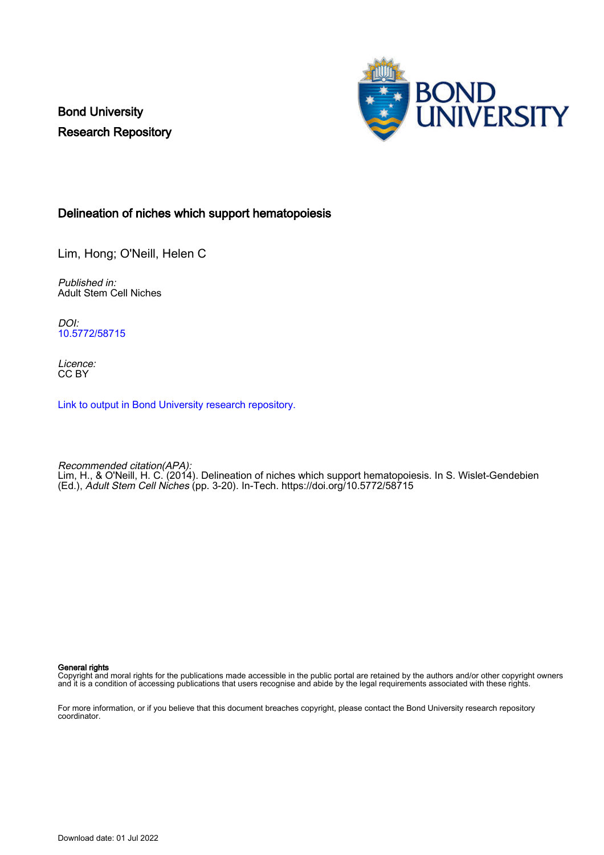Bond University Research Repository



# Delineation of niches which support hematopoiesis

Lim, Hong; O'Neill, Helen C

Published in: Adult Stem Cell Niches

DOI: [10.5772/58715](https://doi.org/10.5772/58715)

Licence: CC BY

[Link to output in Bond University research repository.](https://research.bond.edu.au/en/publications/3f9977eb-9bbe-448f-9726-675c591ed231)

Recommended citation(APA): Lim, H., & O'Neill, H. C. (2014). Delineation of niches which support hematopoiesis. In S. Wislet-Gendebien (Ed.), Adult Stem Cell Niches (pp. 3-20). In-Tech.<https://doi.org/10.5772/58715>

General rights

Copyright and moral rights for the publications made accessible in the public portal are retained by the authors and/or other copyright owners and it is a condition of accessing publications that users recognise and abide by the legal requirements associated with these rights.

For more information, or if you believe that this document breaches copyright, please contact the Bond University research repository coordinator.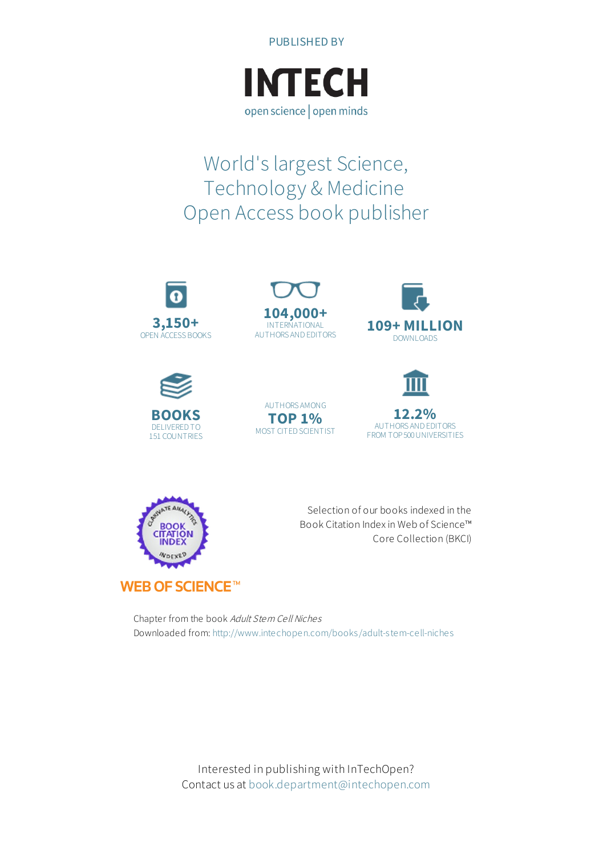



# World's largest Science, Technology & Medicine Open Access book publisher









AUTHORS AMONG **TOP 1%** MOST CITED SCIENTIST





Selection of our books indexed in the Book Citation Index in Web of Science™ Core Collection (BKCI)

Chapter from the book Adult Stem Cell Niches Downloaded from: <http://www.intechopen.com/books/adult-stem-cell-niches>

> Interested in publishing with InTechOpen? Contact us at [book.department@intechopen.com](mailto:book.department@intechopen.com)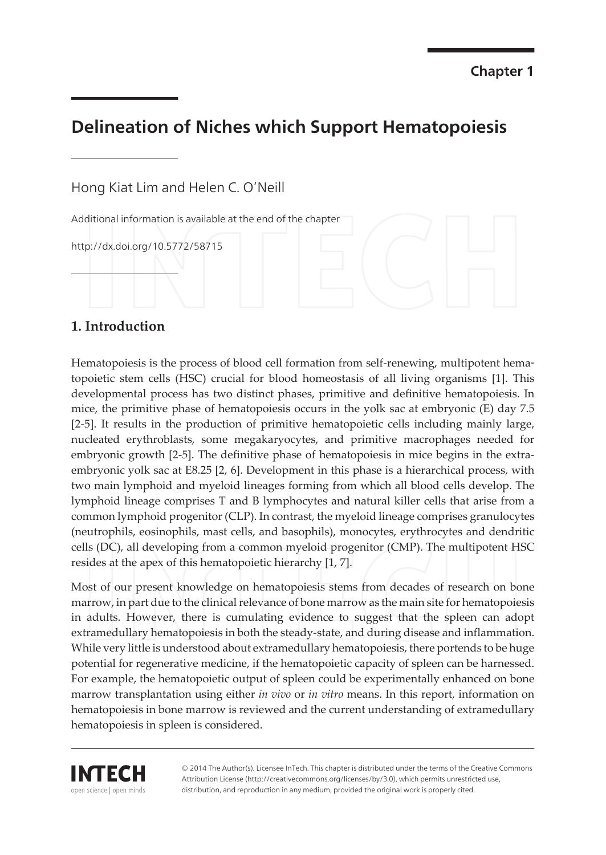# **Delineation of Niches which Support Hematopoiesis**

Hong Kiat Lim and Helen C. O'Neill

Additional information is available at the end of the chapter

http://dx.doi.org/10.5772/58715

## 1. Introduction

Hematopoiesis is the process of blood cell formation from self-renewing, multipotent hematopoietic stem cells (HSC) crucial for blood homeostasis of all living organisms [1]. This developmental process has two distinct phases, primitive and definitive hematopoiesis. In mice, the primitive phase of hematopoiesis occurs in the yolk sac at embryonic (E) day 7.5 [2-5]. It results in the production of primitive hematopoietic cells including mainly large, nucleated erythroblasts, some megakaryocytes, and primitive macrophages needed for embryonic growth [2-5]. The definitive phase of hematopoiesis in mice begins in the extraembryonic yolk sac at E8.25 [2, 6]. Development in this phase is a hierarchical process, with two main lymphoid and myeloid lineages forming from which all blood cells develop. The lymphoid lineage comprises T and B lymphocytes and natural killer cells that arise from a common lymphoid progenitor (CLP). In contrast, the myeloid lineage comprises granulocytes (neutrophils, eosinophils, mast cells, and basophils), monocytes, erythrocytes and dendritic cells (DC), all developing from a common myeloid progenitor (CMP). The multipotent HSC resides at the apex of this hematopoietic hierarchy [1, 7].

Most of our present knowledge on hematopoiesis stems from decades of research on bone marrow, in part due to the clinical relevance of bone marrow as the main site for hematopoiesis in adults. However, there is cumulating evidence to suggest that the spleen can adopt extramedullary hematopoiesis in both the steady-state, and during disease and inflammation. While very little is understood about extramedullary hematopoiesis, there portends to be huge potential for regenerative medicine, if the hematopoietic capacity of spleen can be harnessed. For example, the hematopoietic output of spleen could be experimentally enhanced on bone marrow transplantation using either in vivo or in vitro means. In this report, information on hematopoiesis in bone marrow is reviewed and the current understanding of extramedullary hematopoiesis in spleen is considered.

IMTECH open science | open minds

© 2014 The Author(s). Licensee InTech. This chapter is distributed under the terms of the Creative Commons Attribution License (http://creativecommons.org/licenses/by/3.0), which permits unrestricted use, distribution, and reproduction in any medium, provided the original work is properly cited.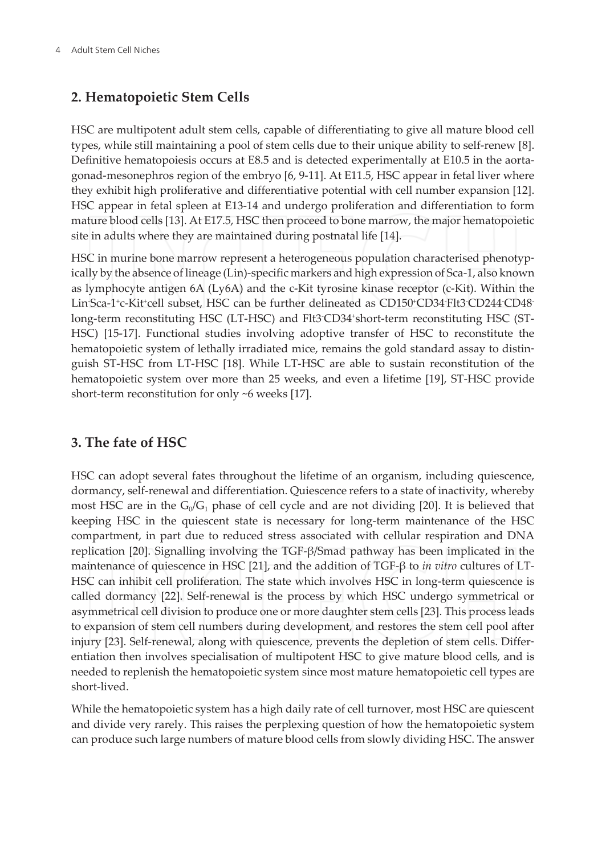# 2. Hematopoietic Stem Cells

HSC are multipotent adult stem cells, capable of differentiating to give all mature blood cell types, while still maintaining a pool of stem cells due to their unique ability to self-renew [8]. Definitive hematopoiesis occurs at E8.5 and is detected experimentally at E10.5 in the aortagonad-mesonephros region of the embryo [6, 9-11]. At E11.5, HSC appear in fetal liver where they exhibit high proliferative and differentiative potential with cell number expansion [12]. HSC appear in fetal spleen at E13-14 and undergo proliferation and differentiation to form mature blood cells [13]. At E17.5, HSC then proceed to bone marrow, the major hematopoietic site in adults where they are maintained during postnatal life [14].

HSC in murine bone marrow represent a heterogeneous population characterised phenotypically by the absence of lineage (Lin)-specific markers and high expression of Sca-1, also known as lymphocyte antigen 6A (Ly6A) and the c-Kit tyrosine kinase receptor (c-Kit). Within the Lin Sca-1'c-Kit'cell subset, HSC can be further delineated as CD150'CD34 Flt3 CD244 CD48 long-term reconstituting HSC (LT-HSC) and Flt3 CD34 short-term reconstituting HSC (ST-HSC) [15-17]. Functional studies involving adoptive transfer of HSC to reconstitute the hematopoietic system of lethally irradiated mice, remains the gold standard assay to distinguish ST-HSC from LT-HSC [18]. While LT-HSC are able to sustain reconstitution of the hematopoietic system over more than 25 weeks, and even a lifetime [19], ST-HSC provide short-term reconstitution for only ~6 weeks [17].

# 3. The fate of HSC

HSC can adopt several fates throughout the lifetime of an organism, including quiescence, dormancy, self-renewal and differentiation. Quiescence refers to a state of inactivity, whereby most HSC are in the  $G_0/G_1$  phase of cell cycle and are not dividing [20]. It is believed that keeping HSC in the quiescent state is necessary for long-term maintenance of the HSC compartment, in part due to reduced stress associated with cellular respiration and DNA replication [20]. Signalling involving the TGF- $\beta$ /Smad pathway has been implicated in the maintenance of quiescence in HSC [21], and the addition of TGF- $\beta$  to *in vitro* cultures of LT-HSC can inhibit cell proliferation. The state which involves HSC in long-term quiescence is called dormancy [22]. Self-renewal is the process by which HSC undergo symmetrical or asymmetrical cell division to produce one or more daughter stem cells [23]. This process leads to expansion of stem cell numbers during development, and restores the stem cell pool after injury [23]. Self-renewal, along with quiescence, prevents the depletion of stem cells. Differentiation then involves specialisation of multipotent HSC to give mature blood cells, and is needed to replenish the hematopoietic system since most mature hematopoietic cell types are short-lived.

While the hematopoietic system has a high daily rate of cell turnover, most HSC are quiescent and divide very rarely. This raises the perplexing question of how the hematopoietic system can produce such large numbers of mature blood cells from slowly dividing HSC. The answer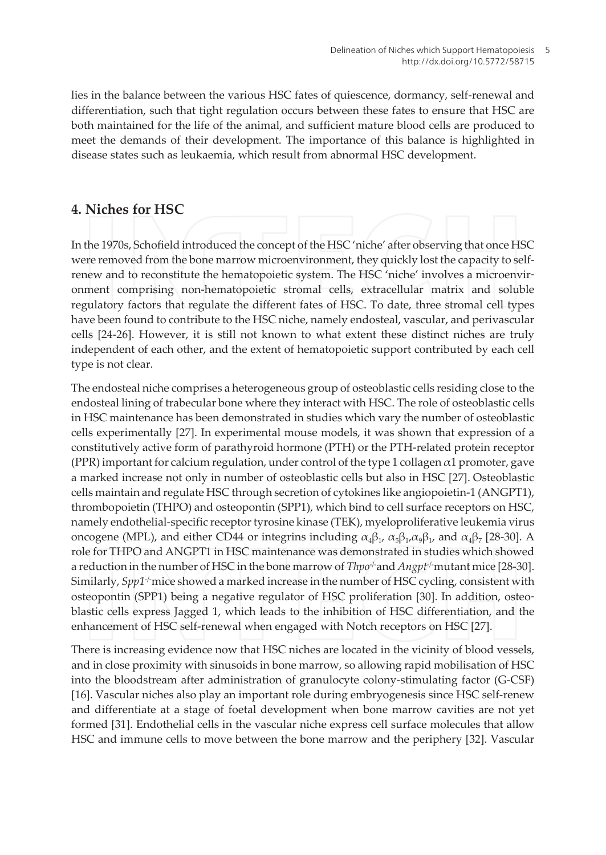lies in the balance between the various HSC fates of quiescence, dormancy, self-renewal and differentiation, such that tight regulation occurs between these fates to ensure that HSC are both maintained for the life of the animal, and sufficient mature blood cells are produced to meet the demands of their development. The importance of this balance is highlighted in disease states such as leukaemia, which result from abnormal HSC development.

### 4. Niches for HSC

In the 1970s, Schofield introduced the concept of the HSC 'niche' after observing that once HSC were removed from the bone marrow microenvironment, they quickly lost the capacity to selfrenew and to reconstitute the hematopoietic system. The HSC 'niche' involves a microenvironment comprising non-hematopoietic stromal cells, extracellular matrix and soluble regulatory factors that regulate the different fates of HSC. To date, three stromal cell types have been found to contribute to the HSC niche, namely endosteal, vascular, and perivascular cells [24-26]. However, it is still not known to what extent these distinct niches are truly independent of each other, and the extent of hematopoietic support contributed by each cell type is not clear.

The endosteal niche comprises a heterogeneous group of osteoblastic cells residing close to the endosteal lining of trabecular bone where they interact with HSC. The role of osteoblastic cells in HSC maintenance has been demonstrated in studies which vary the number of osteoblastic cells experimentally [27]. In experimental mouse models, it was shown that expression of a constitutively active form of parathyroid hormone (PTH) or the PTH-related protein receptor (PPR) important for calcium regulation, under control of the type 1 collagen  $\alpha$ 1 promoter, gave a marked increase not only in number of osteoblastic cells but also in HSC [27]. Osteoblastic cells maintain and regulate HSC through secretion of cytokines like angiopoietin-1 (ANGPT1), thrombopoietin (THPO) and osteopontin (SPP1), which bind to cell surface receptors on HSC, namely endothelial-specific receptor tyrosine kinase (TEK), myeloproliferative leukemia virus oncogene (MPL), and either CD44 or integrins including  $\alpha_4\beta_1$ ,  $\alpha_5\beta_1$ ,  $\alpha_6\beta_1$ , and  $\alpha_4\beta_7$  [28-30]. A role for THPO and ANGPT1 in HSC maintenance was demonstrated in studies which showed a reduction in the number of HSC in the bone marrow of  $Thpo<sup>-/-</sup>$  and  $Anqpt<sup>-/-</sup>$  mutant mice [28-30]. Similarly, Spp1<sup>-/-</sup>mice showed a marked increase in the number of HSC cycling, consistent with osteopontin (SPP1) being a negative regulator of HSC proliferation [30]. In addition, osteoblastic cells express Jagged 1, which leads to the inhibition of HSC differentiation, and the enhancement of HSC self-renewal when engaged with Notch receptors on HSC [27].

There is increasing evidence now that HSC niches are located in the vicinity of blood vessels, and in close proximity with sinusoids in bone marrow, so allowing rapid mobilisation of HSC into the bloodstream after administration of granulocyte colony-stimulating factor (G-CSF) [16]. Vascular niches also play an important role during embryogenesis since HSC self-renew and differentiate at a stage of foetal development when bone marrow cavities are not yet formed [31]. Endothelial cells in the vascular niche express cell surface molecules that allow HSC and immune cells to move between the bone marrow and the periphery [32]. Vascular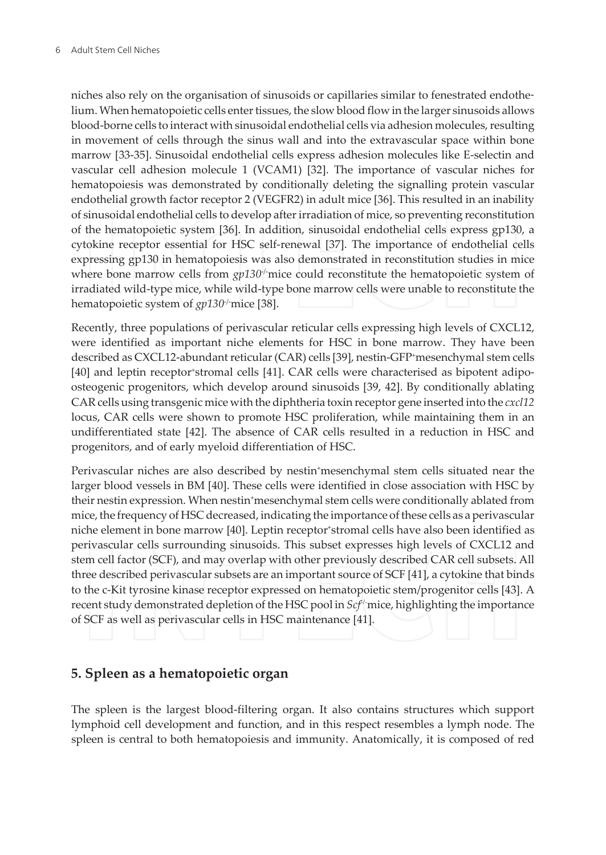niches also rely on the organisation of sinusoids or capillaries similar to fenestrated endothelium. When hematopoietic cells enter tissues, the slow blood flow in the larger sinusoids allows blood-borne cells to interact with sinusoidal endothelial cells via adhesion molecules, resulting in movement of cells through the sinus wall and into the extravascular space within bone marrow [33-35]. Sinusoidal endothelial cells express adhesion molecules like E-selectin and vascular cell adhesion molecule 1 (VCAM1) [32]. The importance of vascular niches for hematopoiesis was demonstrated by conditionally deleting the signalling protein vascular endothelial growth factor receptor 2 (VEGFR2) in adult mice [36]. This resulted in an inability of sinusoidal endothelial cells to develop after irradiation of mice, so preventing reconstitution of the hematopoietic system [36]. In addition, sinusoidal endothelial cells express gp130, a cytokine receptor essential for HSC self-renewal [37]. The importance of endothelial cells expressing gp130 in hematopoiesis was also demonstrated in reconstitution studies in mice where bone marrow cells from  $g p 130<sup>j</sup>$  mice could reconstitute the hematopoietic system of irradiated wild-type mice, while wild-type bone marrow cells were unable to reconstitute the hematopoietic system of gp130<sup>-/-</sup>mice [38].

Recently, three populations of perivascular reticular cells expressing high levels of CXCL12, were identified as important niche elements for HSC in bone marrow. They have been described as CXCL12-abundant reticular (CAR) cells [39], nestin-GFP+mesenchymal stem cells [40] and leptin receptor stromal cells [41]. CAR cells were characterised as bipotent adipoosteogenic progenitors, which develop around sinusoids [39, 42]. By conditionally ablating CAR cells using transgenic mice with the diphtheria toxin receptor gene inserted into the cxcl12 locus, CAR cells were shown to promote HSC proliferation, while maintaining them in an undifferentiated state [42]. The absence of CAR cells resulted in a reduction in HSC and progenitors, and of early myeloid differentiation of HSC.

Perivascular niches are also described by nestin\*mesenchymal stem cells situated near the larger blood vessels in BM [40]. These cells were identified in close association with HSC by their nestin expression. When nestin mesenchymal stem cells were conditionally ablated from mice, the frequency of HSC decreased, indicating the importance of these cells as a perivascular niche element in bone marrow [40]. Leptin receptor stromal cells have also been identified as perivascular cells surrounding sinusoids. This subset expresses high levels of CXCL12 and stem cell factor (SCF), and may overlap with other previously described CAR cell subsets. All three described perivascular subsets are an important source of SCF [41], a cytokine that binds to the c-Kit tyrosine kinase receptor expressed on hematopoietic stem/progenitor cells [43]. A recent study demonstrated depletion of the HSC pool in Scf' mice, highlighting the importance of SCF as well as perivascular cells in HSC maintenance [41].

## 5. Spleen as a hematopoietic organ

The spleen is the largest blood-filtering organ. It also contains structures which support lymphoid cell development and function, and in this respect resembles a lymph node. The spleen is central to both hematopoiesis and immunity. Anatomically, it is composed of red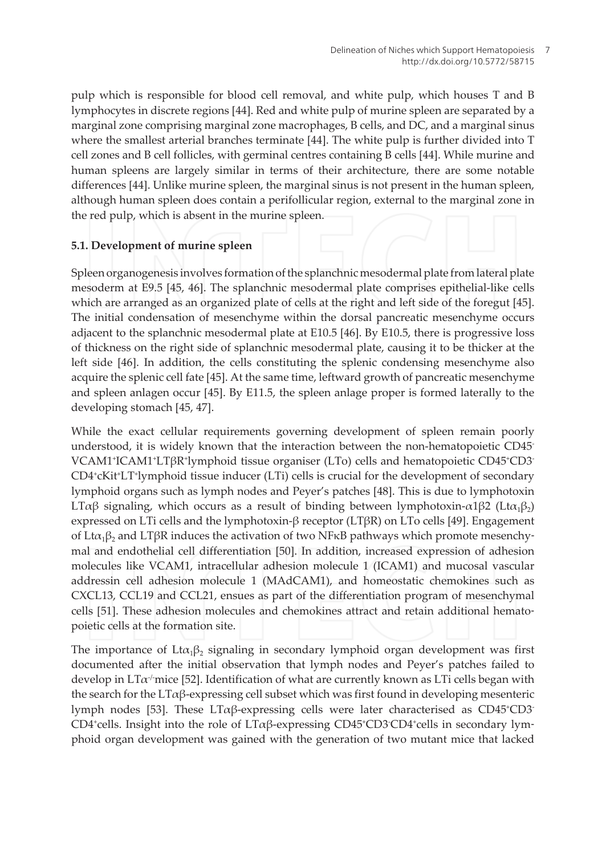pulp which is responsible for blood cell removal, and white pulp, which houses T and B lymphocytes in discrete regions [44]. Red and white pulp of murine spleen are separated by a marginal zone comprising marginal zone macrophages, B cells, and DC, and a marginal sinus where the smallest arterial branches terminate [44]. The white pulp is further divided into T cell zones and B cell follicles, with germinal centres containing B cells [44]. While murine and human spleens are largely similar in terms of their architecture, there are some notable differences [44]. Unlike murine spleen, the marginal sinus is not present in the human spleen, although human spleen does contain a perifollicular region, external to the marginal zone in the red pulp, which is absent in the murine spleen.

#### 5.1. Development of murine spleen

Spleen organogenesis involves formation of the splanchnic mesodermal plate from lateral plate mesoderm at E9.5 [45, 46]. The splanchnic mesodermal plate comprises epithelial-like cells which are arranged as an organized plate of cells at the right and left side of the foregut [45]. The initial condensation of mesenchyme within the dorsal pancreatic mesenchyme occurs adjacent to the splanchnic mesodermal plate at E10.5 [46]. By E10.5, there is progressive loss of thickness on the right side of splanchnic mesodermal plate, causing it to be thicker at the left side [46]. In addition, the cells constituting the splenic condensing mesenchyme also acquire the splenic cell fate [45]. At the same time, leftward growth of pancreatic mesenchyme and spleen anlagen occur [45]. By E11.5, the spleen anlage proper is formed laterally to the developing stomach [45, 47].

While the exact cellular requirements governing development of spleen remain poorly understood, it is widely known that the interaction between the non-hematopoietic CD45 VCAM1<sup>+</sup>ICAM1<sup>+</sup>LTβR<sup>+</sup>lymphoid tissue organiser (LTo) cells and hematopoietic CD45<sup>+</sup>CD3<sup>-</sup> CD4<sup>+</sup>cKit<sup>+</sup>LT<sup>+</sup>lymphoid tissue inducer (LTi) cells is crucial for the development of secondary lymphoid organs such as lymph nodes and Peyer's patches [48]. This is due to lymphotoxin LΤαβ signaling, which occurs as a result of binding between lymphotoxin- $\alpha$ 1β2 (Ltα<sub>1</sub>β<sub>2</sub>) expressed on LTi cells and the lymphotoxin- $\beta$  receptor (LT $\beta$ R) on LTo cells [49]. Engagement of Lt $\alpha_1\beta_2$  and LT $\beta$ R induces the activation of two NF $\kappa$ B pathways which promote mesenchymal and endothelial cell differentiation [50]. In addition, increased expression of adhesion molecules like VCAM1, intracellular adhesion molecule 1 (ICAM1) and mucosal vascular addressin cell adhesion molecule 1 (MAdCAM1), and homeostatic chemokines such as CXCL13, CCL19 and CCL21, ensues as part of the differentiation program of mesenchymal cells [51]. These adhesion molecules and chemokines attract and retain additional hematopoietic cells at the formation site.

The importance of  $L^{\alpha}(\beta)$  signaling in secondary lymphoid organ development was first documented after the initial observation that lymph nodes and Peyer's patches failed to develop in  $LT\alpha$  mice [52]. Identification of what are currently known as LTi cells began with the search for the  $LT\alpha\beta$ -expressing cell subset which was first found in developing mesenteric lymph nodes [53]. These  $LT\alpha\beta$ -expressing cells were later characterised as CD45<sup>+</sup>CD3<sup>-</sup>  $CD4$ <sup>t</sup>cells. Insight into the role of  $LT\alpha\beta$ -expressing CD45<sup>+</sup>CD3<sup>-</sup>CD4<sup>+</sup>cells in secondary lymphoid organ development was gained with the generation of two mutant mice that lacked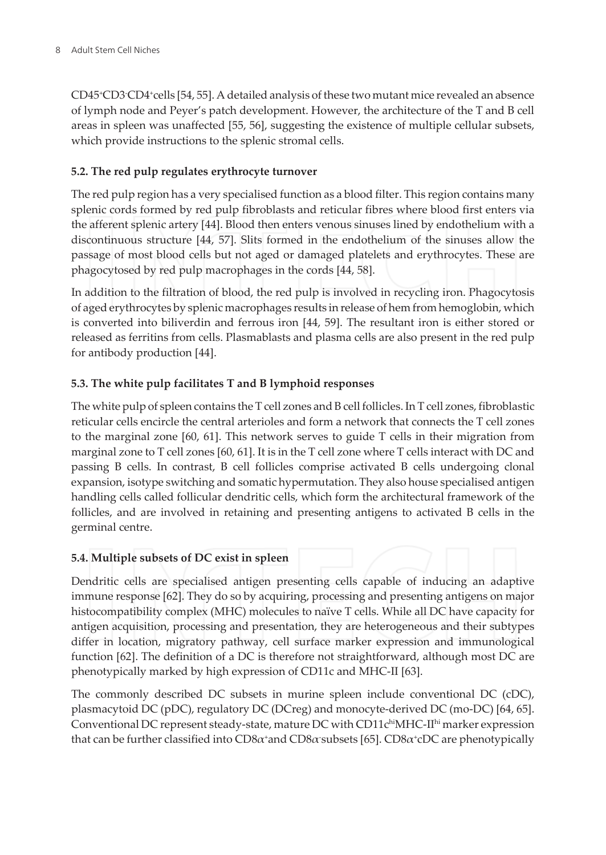CD45<sup>+</sup>CD3<sup>-</sup>CD4<sup>+</sup>cells [54, 55]. A detailed analysis of these two mutant mice revealed an absence of lymph node and Peyer's patch development. However, the architecture of the T and B cell areas in spleen was unaffected [55, 56], suggesting the existence of multiple cellular subsets, which provide instructions to the splenic stromal cells.

#### 5.2. The red pulp regulates erythrocyte turnover

The red pulp region has a very specialised function as a blood filter. This region contains many splenic cords formed by red pulp fibroblasts and reticular fibres where blood first enters via the afferent splenic artery [44]. Blood then enters venous sinuses lined by endothelium with a discontinuous structure [44, 57]. Slits formed in the endothelium of the sinuses allow the passage of most blood cells but not aged or damaged platelets and erythrocytes. These are phagocytosed by red pulp macrophages in the cords [44, 58].

In addition to the filtration of blood, the red pulp is involved in recycling iron. Phagocytosis of aged erythrocytes by splenic macrophages results in release of hem from hemoglobin, which is converted into biliverdin and ferrous iron [44, 59]. The resultant iron is either stored or released as ferritins from cells. Plasmablasts and plasma cells are also present in the red pulp for antibody production [44].

#### 5.3. The white pulp facilitates T and B lymphoid responses

The white pulp of spleen contains the T cell zones and B cell follicles. In T cell zones, fibroblastic reticular cells encircle the central arterioles and form a network that connects the T cell zones to the marginal zone  $[60, 61]$ . This network serves to guide T cells in their migration from marginal zone to T cell zones [60, 61]. It is in the T cell zone where T cells interact with DC and passing B cells. In contrast, B cell follicles comprise activated B cells undergoing clonal expansion, isotype switching and somatic hypermutation. They also house specialised antigen handling cells called follicular dendritic cells, which form the architectural framework of the follicles, and are involved in retaining and presenting antigens to activated B cells in the germinal centre.

#### 5.4. Multiple subsets of DC exist in spleen

Dendritic cells are specialised antigen presenting cells capable of inducing an adaptive immune response [62]. They do so by acquiring, processing and presenting antigens on major histocompatibility complex (MHC) molecules to naïve T cells. While all DC have capacity for antigen acquisition, processing and presentation, they are heterogeneous and their subtypes differ in location, migratory pathway, cell surface marker expression and immunological function [62]. The definition of a DC is therefore not straightforward, although most DC are phenotypically marked by high expression of CD11c and MHC-II [63].

The commonly described DC subsets in murine spleen include conventional DC (cDC), plasmacytoid DC (pDC), regulatory DC (DCreg) and monocyte-derived DC (mo-DC) [64, 65]. Conventional DC represent steady-state, mature DC with CD11chiMHC-IIhi marker expression that can be further classified into  $CD8\alpha$  and  $CD8\alpha$  subsets [65].  $CD8\alpha$  cDC are phenotypically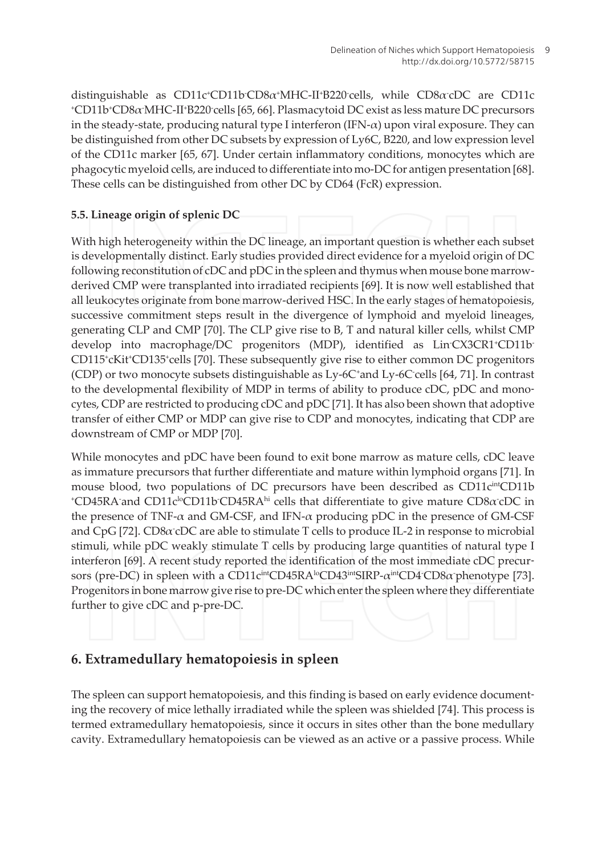distinguishable as  $CD11c^{\ast}CD11b^{\ast}CD8\alpha^{\ast}MHC-II^{\ast}B220^{\ast}cells$ , while  $CD8\alpha^{\ast}cDC$  are CD11c <sup>+</sup>CD11b<sup>+</sup>CD8α<sup>-</sup>MHC-II<sup>+</sup>B220<sup>-</sup>cells [65, 66]. Plasmacytoid DC exist as less mature DC precursors in the steady-state, producing natural type I interferon (IFN- $\alpha$ ) upon viral exposure. They can be distinguished from other DC subsets by expression of Ly6C, B220, and low expression level of the CD11c marker [65, 67]. Under certain inflammatory conditions, monocytes which are phagocytic myeloid cells, are induced to differentiate into mo-DC for antigen presentation [68]. These cells can be distinguished from other DC by CD64 (FcR) expression.

#### 5.5. Lineage origin of splenic DC

With high heterogeneity within the DC lineage, an important question is whether each subset is developmentally distinct. Early studies provided direct evidence for a myeloid origin of DC following reconstitution of cDC and pDC in the spleen and thymus when mouse bone marrowderived CMP were transplanted into irradiated recipients [69]. It is now well established that all leukocytes originate from bone marrow-derived HSC. In the early stages of hematopoiesis, successive commitment steps result in the divergence of lymphoid and myeloid lineages, generating CLP and CMP [70]. The CLP give rise to B, T and natural killer cells, whilst CMP develop into macrophage/DC progenitors (MDP), identified as LinCX3CR1+CD11b CD115<sup>+</sup>cKit<sup>+</sup>CD135<sup>+</sup>cells [70]. These subsequently give rise to either common DC progenitors (CDP) or two monocyte subsets distinguishable as Ly-6C<sup>+</sup>and Ly-6C<sup>-cells</sup> [64, 71]. In contrast to the developmental flexibility of MDP in terms of ability to produce cDC, pDC and monocytes, CDP are restricted to producing cDC and pDC [71]. It has also been shown that adoptive transfer of either CMP or MDP can give rise to CDP and monocytes, indicating that CDP are downstream of CMP or MDP [70].

While monocytes and pDC have been found to exit bone marrow as mature cells, cDC leave as immature precursors that further differentiate and mature within lymphoid organs [71]. In mouse blood, two populations of DC precursors have been described as CD11c<sup>int</sup>CD11b  $^{\circ}CD45RA$  and CD11c<sup>lo</sup>CD11b<sup>-</sup>CD45RA<sup>hi</sup> cells that differentiate to give mature CD8 $\alpha$  cDC in the presence of TNF- $\alpha$  and GM-CSF, and IFN- $\alpha$  producing pDC in the presence of GM-CSF and CpG [72]. CD8 $\alpha$  cDC are able to stimulate T cells to produce IL-2 in response to microbial stimuli, while pDC weakly stimulate T cells by producing large quantities of natural type I interferon [69]. A recent study reported the identification of the most immediate cDC precursors (pre-DC) in spleen with a CD11c<sup>int</sup>CD45RA<sup>lo</sup>CD43<sup>int</sup>SIRP- $\alpha$ <sup>int</sup>CD4 CD8 $\alpha$  phenotype [73]. Progenitors in bone marrow give rise to pre-DC which enter the spleen where they differentiate further to give cDC and p-pre-DC.

## 6. Extramedullary hematopoiesis in spleen

The spleen can support hematopoiesis, and this finding is based on early evidence documenting the recovery of mice lethally irradiated while the spleen was shielded [74]. This process is termed extramedullary hematopoiesis, since it occurs in sites other than the bone medullary cavity. Extramedullary hematopoiesis can be viewed as an active or a passive process. While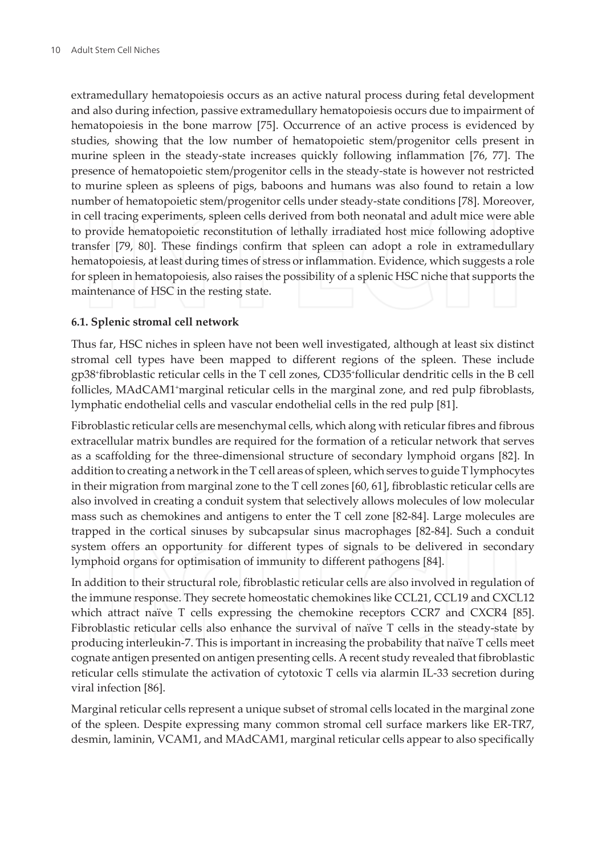extramedullary hematopoiesis occurs as an active natural process during fetal development and also during infection, passive extramedullary hematopoiesis occurs due to impairment of hematopoiesis in the bone marrow [75]. Occurrence of an active process is evidenced by studies, showing that the low number of hematopoietic stem/progenitor cells present in murine spleen in the steady-state increases quickly following inflammation [76, 77]. The presence of hematopoietic stem/progenitor cells in the steady-state is however not restricted to murine spleen as spleens of pigs, baboons and humans was also found to retain a low number of hematopoietic stem/progenitor cells under steady-state conditions [78]. Moreover, in cell tracing experiments, spleen cells derived from both neonatal and adult mice were able to provide hematopoietic reconstitution of lethally irradiated host mice following adoptive transfer [79, 80]. These findings confirm that spleen can adopt a role in extramedullary hematopoiesis, at least during times of stress or inflammation. Evidence, which suggests a role for spleen in hematopoiesis, also raises the possibility of a splenic HSC niche that supports the maintenance of HSC in the resting state.

#### 6.1. Splenic stromal cell network

Thus far, HSC niches in spleen have not been well investigated, although at least six distinct stromal cell types have been mapped to different regions of the spleen. These include gp38<sup>+</sup>fibroblastic reticular cells in the T cell zones, CD35<sup>+</sup>follicular dendritic cells in the B cell follicles, MAdCAM1<sup>+</sup>marginal reticular cells in the marginal zone, and red pulp fibroblasts, lymphatic endothelial cells and vascular endothelial cells in the red pulp [81].

Fibroblastic reticular cells are mesenchymal cells, which along with reticular fibres and fibrous extracellular matrix bundles are required for the formation of a reticular network that serves as a scaffolding for the three-dimensional structure of secondary lymphoid organs [82]. In addition to creating a network in the T cell areas of spleen, which serves to guide T lymphocytes in their migration from marginal zone to the T cell zones [60, 61], fibroblastic reticular cells are also involved in creating a conduit system that selectively allows molecules of low molecular mass such as chemokines and antigens to enter the T cell zone [82-84]. Large molecules are trapped in the cortical sinuses by subcapsular sinus macrophages [82-84]. Such a conduit system offers an opportunity for different types of signals to be delivered in secondary lymphoid organs for optimisation of immunity to different pathogens [84].

In addition to their structural role, fibroblastic reticular cells are also involved in regulation of the immune response. They secrete homeostatic chemokines like CCL21, CCL19 and CXCL12 which attract naïve T cells expressing the chemokine receptors CCR7 and CXCR4 [85]. Fibroblastic reticular cells also enhance the survival of naïve T cells in the steady-state by producing interleukin-7. This is important in increasing the probability that naïve T cells meet cognate antigen presented on antigen presenting cells. A recent study revealed that fibroblastic reticular cells stimulate the activation of cytotoxic T cells via alarmin IL-33 secretion during viral infection [86].

Marginal reticular cells represent a unique subset of stromal cells located in the marginal zone of the spleen. Despite expressing many common stromal cell surface markers like ER-TR7, desmin, laminin, VCAM1, and MAdCAM1, marginal reticular cells appear to also specifically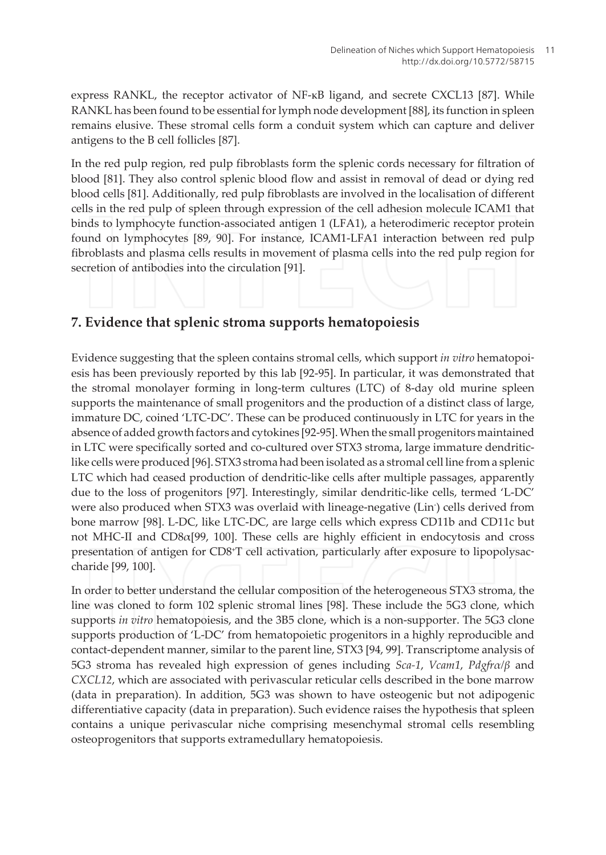express RANKL, the receptor activator of NF-kB ligand, and secrete CXCL13 [87]. While RANKL has been found to be essential for lymph node development [88], its function in spleen remains elusive. These stromal cells form a conduit system which can capture and deliver antigens to the B cell follicles [87].

In the red pulp region, red pulp fibroblasts form the splenic cords necessary for filtration of blood [81]. They also control splenic blood flow and assist in removal of dead or dying red blood cells [81]. Additionally, red pulp fibroblasts are involved in the localisation of different cells in the red pulp of spleen through expression of the cell adhesion molecule ICAM1 that binds to lymphocyte function-associated antigen 1 (LFA1), a heterodimeric receptor protein found on lymphocytes [89, 90]. For instance, ICAM1-LFA1 interaction between red pulp fibroblasts and plasma cells results in movement of plasma cells into the red pulp region for secretion of antibodies into the circulation [91].

### 7. Evidence that splenic stroma supports hematopoiesis

Evidence suggesting that the spleen contains stromal cells, which support in vitro hematopoiesis has been previously reported by this lab [92-95]. In particular, it was demonstrated that the stromal monolayer forming in long-term cultures (LTC) of 8-day old murine spleen supports the maintenance of small progenitors and the production of a distinct class of large, immature DC, coined 'LTC-DC'. These can be produced continuously in LTC for years in the absence of added growth factors and cytokines [92-95]. When the small progenitors maintained in LTC were specifically sorted and co-cultured over STX3 stroma, large immature dendriticlike cells were produced [96]. STX3 stroma had been isolated as a stromal cell line from a splenic LTC which had ceased production of dendritic-like cells after multiple passages, apparently due to the loss of progenitors [97]. Interestingly, similar dendritic-like cells, termed 'L-DC' were also produced when STX3 was overlaid with lineage-negative (Lin) cells derived from bone marrow [98]. L-DC, like LTC-DC, are large cells which express CD11b and CD11c but not MHC-II and  $CD8\alpha$ [99, 100]. These cells are highly efficient in endocytosis and cross presentation of antigen for CD8<sup>+</sup>T cell activation, particularly after exposure to lipopolysaccharide [99, 100].

In order to better understand the cellular composition of the heterogeneous STX3 stroma, the line was cloned to form 102 splenic stromal lines [98]. These include the 5G3 clone, which supports in vitro hematopoiesis, and the 3B5 clone, which is a non-supporter. The 5G3 clone supports production of 'L-DC' from hematopoietic progenitors in a highly reproducible and contact-dependent manner, similar to the parent line, STX3 [94, 99]. Transcriptome analysis of 5G3 stroma has revealed high expression of genes including *Sca-1*, *Vcam1*, *Pdgfra/* $\beta$  and CXCL12, which are associated with perivascular reticular cells described in the bone marrow (data in preparation). In addition, 5G3 was shown to have osteogenic but not adipogenic differentiative capacity (data in preparation). Such evidence raises the hypothesis that spleen contains a unique perivascular niche comprising mesenchymal stromal cells resembling osteoprogenitors that supports extramedullary hematopoiesis.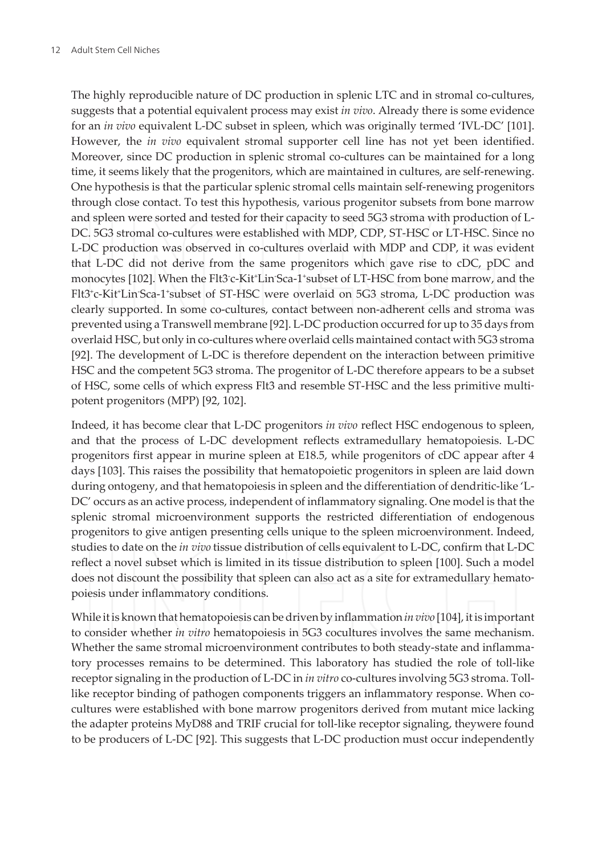The highly reproducible nature of DC production in splenic LTC and in stromal co-cultures, suggests that a potential equivalent process may exist in vivo. Already there is some evidence for an *in vivo* equivalent L-DC subset in spleen, which was originally termed 'IVL-DC' [101]. However, the *in vivo* equivalent stromal supporter cell line has not yet been identified. Moreover, since DC production in splenic stromal co-cultures can be maintained for a long time, it seems likely that the progenitors, which are maintained in cultures, are self-renewing. One hypothesis is that the particular splenic stromal cells maintain self-renewing progenitors through close contact. To test this hypothesis, various progenitor subsets from bone marrow and spleen were sorted and tested for their capacity to seed 5G3 stroma with production of L-DC. 5G3 stromal co-cultures were established with MDP, CDP, ST-HSC or LT-HSC. Since no L-DC production was observed in co-cultures overlaid with MDP and CDP, it was evident that L-DC did not derive from the same progenitors which gave rise to cDC, pDC and monocytes [102]. When the Flt3<sup>-</sup>c-Kit<sup>+</sup>Lin<sup>-</sup>Sca-1<sup>+</sup>subset of LT-HSC from bone marrow, and the Flt3<sup>+</sup>c-Kit<sup>+</sup>Lin<sup>-</sup>Sca-1<sup>+</sup>subset of ST-HSC were overlaid on 5G3 stroma, L-DC production was clearly supported. In some co-cultures, contact between non-adherent cells and stroma was prevented using a Transwell membrane [92]. L-DC production occurred for up to 35 days from overlaid HSC, but only in co-cultures where overlaid cells maintained contact with 5G3 stroma [92]. The development of L-DC is therefore dependent on the interaction between primitive HSC and the competent 5G3 stroma. The progenitor of L-DC therefore appears to be a subset of HSC, some cells of which express Flt3 and resemble ST-HSC and the less primitive multipotent progenitors (MPP) [92, 102].

Indeed, it has become clear that L-DC progenitors in vivo reflect HSC endogenous to spleen, and that the process of L-DC development reflects extramedullary hematopoiesis. L-DC progenitors first appear in murine spleen at E18.5, while progenitors of cDC appear after 4 days [103]. This raises the possibility that hematopoietic progenitors in spleen are laid down during ontogeny, and that hematopoiesis in spleen and the differentiation of dendritic-like 'L-DC' occurs as an active process, independent of inflammatory signaling. One model is that the splenic stromal microenvironment supports the restricted differentiation of endogenous progenitors to give antigen presenting cells unique to the spleen microenvironment. Indeed, studies to date on the *in vivo* tissue distribution of cells equivalent to L-DC, confirm that L-DC reflect a novel subset which is limited in its tissue distribution to spleen [100]. Such a model does not discount the possibility that spleen can also act as a site for extramedullary hematopoiesis under inflammatory conditions.

While it is known that hematopoiesis can be driven by inflammation in vivo [104], it is important to consider whether in vitro hematopoiesis in 5G3 cocultures involves the same mechanism. Whether the same stromal microenvironment contributes to both steady-state and inflammatory processes remains to be determined. This laboratory has studied the role of toll-like receptor signaling in the production of L-DC in in vitro co-cultures involving 5G3 stroma. Tolllike receptor binding of pathogen components triggers an inflammatory response. When cocultures were established with bone marrow progenitors derived from mutant mice lacking the adapter proteins MyD88 and TRIF crucial for toll-like receptor signaling, theywere found to be producers of L-DC [92]. This suggests that L-DC production must occur independently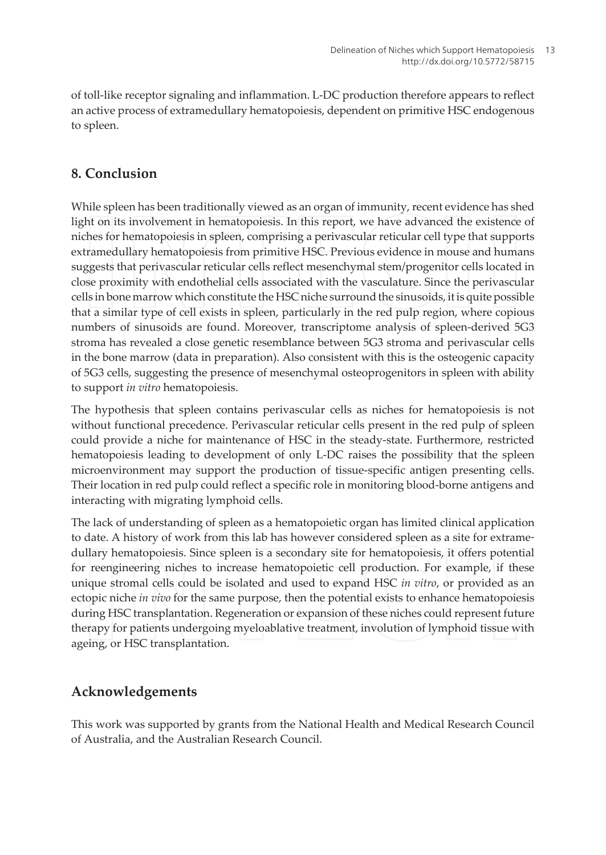of toll-like receptor signaling and inflammation. L-DC production therefore appears to reflect an active process of extramedullary hematopoiesis, dependent on primitive HSC endogenous to spleen.

## 8. Conclusion

While spleen has been traditionally viewed as an organ of immunity, recent evidence has shed light on its involvement in hematopoiesis. In this report, we have advanced the existence of niches for hematopoiesis in spleen, comprising a perivascular reticular cell type that supports extramedullary hematopoiesis from primitive HSC. Previous evidence in mouse and humans suggests that perivascular reticular cells reflect mesenchymal stem/progenitor cells located in close proximity with endothelial cells associated with the vasculature. Since the perivascular cells in bone marrow which constitute the HSC niche surround the sinusoids, it is quite possible that a similar type of cell exists in spleen, particularly in the red pulp region, where copious numbers of sinusoids are found. Moreover, transcriptome analysis of spleen-derived 5G3 stroma has revealed a close genetic resemblance between 5G3 stroma and perivascular cells in the bone marrow (data in preparation). Also consistent with this is the osteogenic capacity of 5G3 cells, suggesting the presence of mesenchymal osteoprogenitors in spleen with ability to support in vitro hematopoiesis.

The hypothesis that spleen contains perivascular cells as niches for hematopoiesis is not without functional precedence. Perivascular reticular cells present in the red pulp of spleen could provide a niche for maintenance of HSC in the steady-state. Furthermore, restricted hematopoiesis leading to development of only L-DC raises the possibility that the spleen microenvironment may support the production of tissue-specific antigen presenting cells. Their location in red pulp could reflect a specific role in monitoring blood-borne antigens and interacting with migrating lymphoid cells.

The lack of understanding of spleen as a hematopoietic organ has limited clinical application to date. A history of work from this lab has however considered spleen as a site for extramedullary hematopoiesis. Since spleen is a secondary site for hematopoiesis, it offers potential for reengineering niches to increase hematopoietic cell production. For example, if these unique stromal cells could be isolated and used to expand HSC in vitro, or provided as an ectopic niche in vivo for the same purpose, then the potential exists to enhance hematopoiesis during HSC transplantation. Regeneration or expansion of these niches could represent future therapy for patients undergoing myeloablative treatment, involution of lymphoid tissue with ageing, or HSC transplantation.

# Acknowledgements

This work was supported by grants from the National Health and Medical Research Council of Australia, and the Australian Research Council.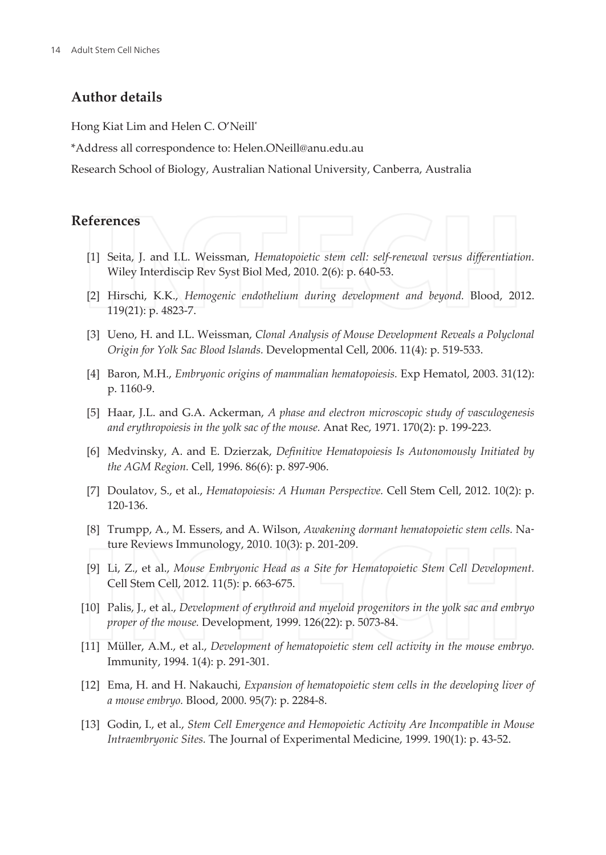#### **Author details**

Hong Kiat Lim and Helen C. O'Neill\*

\*Address all correspondence to: Helen.ONeill@anu.edu.au

Research School of Biology, Australian National University, Canberra, Australia

#### **References**

- [1] Seita, J. and I.L. Weissman, Hematopoietic stem cell: self-renewal versus differentiation. Wiley Interdiscip Rev Syst Biol Med, 2010. 2(6): p. 640-53.
- [2] Hirschi, K.K., Hemogenic endothelium during development and beyond. Blood, 2012. 119(21): p. 4823-7.
- [3] Ueno, H. and I.L. Weissman, Clonal Analysis of Mouse Development Reveals a Polyclonal Origin for Yolk Sac Blood Islands. Developmental Cell, 2006. 11(4): p. 519-533.
- [4] Baron, M.H., Embryonic origins of mammalian hematopoiesis. Exp Hematol, 2003. 31(12): p. 1160-9.
- [5] Haar, J.L. and G.A. Ackerman, A phase and electron microscopic study of vasculogenesis and erythropoiesis in the yolk sac of the mouse. Anat Rec, 1971. 170(2): p. 199-223.
- [6] Medvinsky, A. and E. Dzierzak, Definitive Hematopoiesis Is Autonomously Initiated by the AGM Region. Cell, 1996. 86(6): p. 897-906.
- [7] Doulatov, S., et al., Hematopoiesis: A Human Perspective. Cell Stem Cell, 2012. 10(2): p. 120-136.
- [8] Trumpp, A., M. Essers, and A. Wilson, Awakening dormant hematopoietic stem cells. Nature Reviews Immunology, 2010. 10(3): p. 201-209.
- [9] Li, Z., et al., Mouse Embryonic Head as a Site for Hematopoietic Stem Cell Development. Cell Stem Cell, 2012. 11(5): p. 663-675.
- [10] Palis, J., et al., Development of erythroid and myeloid progenitors in the yolk sac and embryo proper of the mouse. Development, 1999. 126(22): p. 5073-84.
- [11] Müller, A.M., et al., Development of hematopoietic stem cell activity in the mouse embryo. Immunity, 1994. 1(4): p. 291-301.
- [12] Ema, H. and H. Nakauchi, Expansion of hematopoietic stem cells in the developing liver of a mouse embryo. Blood, 2000. 95(7): p. 2284-8.
- [13] Godin, I., et al., Stem Cell Emergence and Hemopoietic Activity Are Incompatible in Mouse Intraembryonic Sites. The Journal of Experimental Medicine, 1999. 190(1): p. 43-52.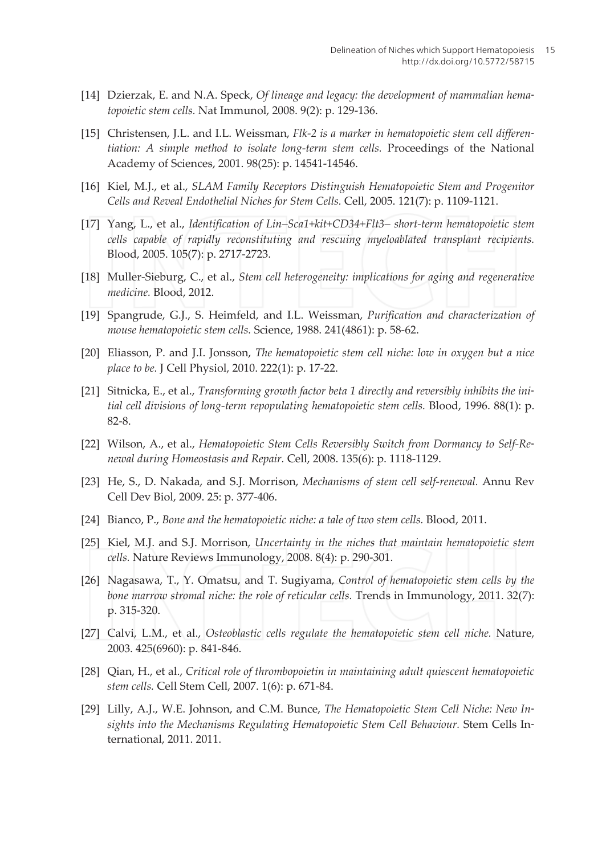- [14] Dzierzak, E. and N.A. Speck, Of lineage and legacy: the development of mammalian hematopoietic stem cells. Nat Immunol, 2008. 9(2): p. 129-136.
- [15] Christensen, J.L. and I.L. Weissman, Flk-2 is a marker in hematopoietic stem cell differentiation: A simple method to isolate long-term stem cells. Proceedings of the National Academy of Sciences, 2001. 98(25): p. 14541-14546.
- [16] Kiel, M.J., et al., SLAM Family Receptors Distinguish Hematopoietic Stem and Progenitor Cells and Reveal Endothelial Niches for Stem Cells. Cell, 2005. 121(7): p. 1109-1121.
- [17] Yang, L., et al., Identification of Lin–Sca1+kit+CD34+Flt3– short-term hematopoietic stem cells capable of rapidly reconstituting and rescuing myeloablated transplant recipients. Blood, 2005. 105(7): p. 2717-2723.
- [18] Muller-Sieburg, C., et al., Stem cell heterogeneity: implications for aging and regenerative medicine. Blood, 2012.
- [19] Spangrude, G.J., S. Heimfeld, and I.L. Weissman, Purification and characterization of mouse hematopoietic stem cells. Science, 1988. 241(4861): p. 58-62.
- [20] Eliasson, P. and J.I. Jonsson, The hematopoietic stem cell niche: low in oxygen but a nice place to be. J Cell Physiol, 2010. 222(1): p. 17-22.
- [21] Sitnicka, E., et al., Transforming growth factor beta 1 directly and reversibly inhibits the initial cell divisions of long-term repopulating hematopoietic stem cells. Blood, 1996. 88(1): p. 82-8.
- [22] Wilson, A., et al., Hematopoietic Stem Cells Reversibly Switch from Dormancy to Self-Renewal during Homeostasis and Repair. Cell, 2008. 135(6): p. 1118-1129.
- [23] He, S., D. Nakada, and S.J. Morrison, Mechanisms of stem cell self-renewal. Annu Rev Cell Dev Biol, 2009. 25: p. 377-406.
- [24] Bianco, P., Bone and the hematopoietic niche: a tale of two stem cells. Blood, 2011.
- [25] Kiel, M.J. and S.J. Morrison, Uncertainty in the niches that maintain hematopoietic stem cells. Nature Reviews Immunology, 2008. 8(4): p. 290-301.
- [26] Nagasawa, T., Y. Omatsu, and T. Sugivama, Control of hematopoietic stem cells by the bone marrow stromal niche: the role of reticular cells. Trends in Immunology, 2011. 32(7): p. 315-320.
- [27] Calvi, L.M., et al., Osteoblastic cells regulate the hematopoietic stem cell niche. Nature, 2003. 425(6960): p. 841-846.
- [28] Qian, H., et al., Critical role of thrombopoietin in maintaining adult quiescent hematopoietic stem cells. Cell Stem Cell, 2007. 1(6): p. 671-84.
- [29] Lilly, A.J., W.E. Johnson, and C.M. Bunce, The Hematopoietic Stem Cell Niche: New Insights into the Mechanisms Regulating Hematopoietic Stem Cell Behaviour. Stem Cells International, 2011. 2011.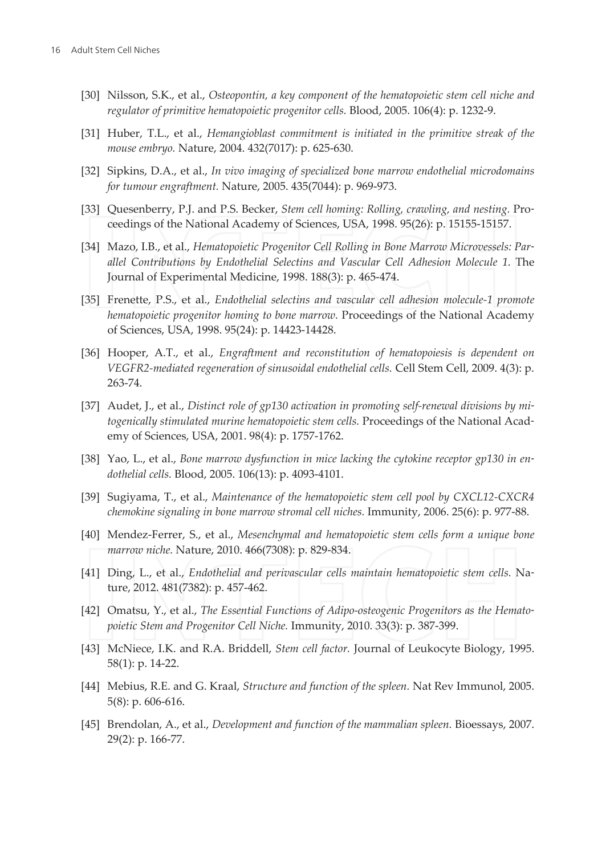- [30] Nilsson, S.K., et al., Osteopontin, a key component of the hematopoietic stem cell niche and regulator of primitive hematopoietic progenitor cells. Blood, 2005. 106(4): p. 1232-9.
- [31] Huber, T.L., et al., Hemangioblast commitment is initiated in the primitive streak of the mouse embryo. Nature, 2004. 432(7017): p. 625-630.
- [32] Sipkins, D.A., et al., In vivo imaging of specialized bone marrow endothelial microdomains for tumour engraftment. Nature, 2005. 435(7044): p. 969-973.
- [33] Quesenberry, P.J. and P.S. Becker, Stem cell homing: Rolling, crawling, and nesting. Proceedings of the National Academy of Sciences, USA, 1998. 95(26): p. 15155-15157.
- [34] Mazo, I.B., et al., Hematopoietic Progenitor Cell Rolling in Bone Marrow Microvessels: Parallel Contributions by Endothelial Selectins and Vascular Cell Adhesion Molecule 1. The Journal of Experimental Medicine, 1998. 188(3): p. 465-474.
- [35] Frenette, P.S., et al., Endothelial selectins and vascular cell adhesion molecule-1 promote hematopoietic progenitor homing to bone marrow. Proceedings of the National Academy of Sciences, USA, 1998. 95(24): p. 14423-14428.
- [36] Hooper, A.T., et al., Engraftment and reconstitution of hematopoiesis is dependent on VEGFR2-mediated regeneration of sinusoidal endothelial cells. Cell Stem Cell, 2009. 4(3): p. 263-74.
- [37] Audet, J., et al., Distinct role of gp130 activation in promoting self-renewal divisions by mitogenically stimulated murine hematopoietic stem cells. Proceedings of the National Academy of Sciences, USA, 2001. 98(4): p. 1757-1762.
- [38] Yao, L., et al., Bone marrow dysfunction in mice lacking the cytokine receptor gp130 in endothelial cells. Blood, 2005. 106(13): p. 4093-4101.
- [39] Sugiyama, T., et al., Maintenance of the hematopoietic stem cell pool by CXCL12-CXCR4 chemokine signaling in bone marrow stromal cell niches. Immunity, 2006. 25(6): p. 977-88.
- [40] Mendez-Ferrer, S., et al., Mesenchymal and hematopoietic stem cells form a unique bone marrow niche. Nature, 2010. 466(7308): p. 829-834.
- [41] Ding, L., et al., Endothelial and perivascular cells maintain hematopoietic stem cells. Nature, 2012. 481(7382): p. 457-462.
- [42] Omatsu, Y., et al., The Essential Functions of Adipo-osteogenic Progenitors as the Hematopoietic Stem and Progenitor Cell Niche. Immunity, 2010. 33(3): p. 387-399.
- [43] McNiece, I.K. and R.A. Briddell, Stem cell factor. Journal of Leukocyte Biology, 1995. 58(1): p. 14-22.
- [44] Mebius, R.E. and G. Kraal, Structure and function of the spleen. Nat Rev Immunol, 2005. 5(8): p. 606-616.
- [45] Brendolan, A., et al., Development and function of the mammalian spleen. Bioessays, 2007. 29(2): p. 166-77.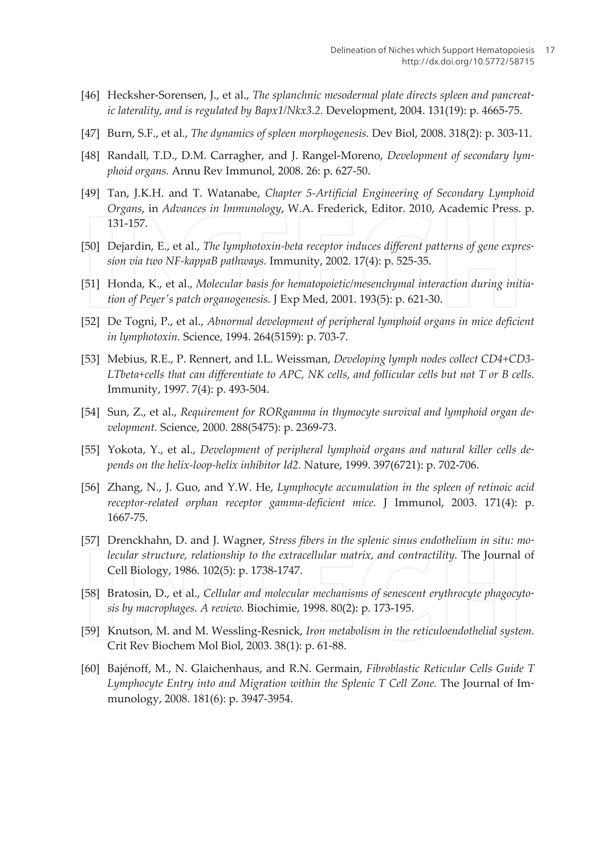- [46] Hecksher-Sorensen, J., et al., The splanchnic mesodermal plate directs spleen and pancreatic laterality, and is regulated by Bapx1/Nkx3.2. Development, 2004. 131(19): p. 4665-75.
- [47] Burn, S.F., et al., The dynamics of spleen morphogenesis. Dev Biol, 2008. 318(2): p. 303-11.
- [48] Randall, T.D., D.M. Carragher, and J. Rangel-Moreno, Development of secondary lym*phoid organs. Annu Rev Immunol. 2008, 26: p. 627-50.*
- [49] Tan, J.K.H. and T. Watanabe, Chapter 5-Artificial Engineering of Secondary Lymphoid Organs, in Advances in Immunology, W.A. Frederick, Editor. 2010, Academic Press. p. 131-157.
- [50] Dejardin, E., et al., The lymphotoxin-beta receptor induces different patterns of gene expression via two NF-kappaB pathways. Immunity, 2002. 17(4): p. 525-35.
- [51] Honda, K., et al., Molecular basis for hematopoietic/mesenchymal interaction during initiation of Peyer's patch organogenesis. J Exp Med, 2001. 193(5): p. 621-30.
- [52] De Togni, P., et al., Abnormal development of peripheral lymphoid organs in mice deficient in lymphotoxin. Science, 1994. 264(5159): p. 703-7.
- [53] Mebius, R.E., P. Rennert, and I.L. Weissman, Developing lymph nodes collect CD4+CD3-LTbeta+cells that can differentiate to APC, NK cells, and follicular cells but not T or B cells. Immunity, 1997. 7(4): p. 493-504.
- [54] Sun, Z., et al., Requirement for RORgamma in thymocyte survival and lymphoid organ development. Science, 2000. 288(5475): p. 2369-73.
- [55] Yokota, Y., et al., Development of peripheral lymphoid organs and natural killer cells depends on the helix-loop-helix inhibitor Id2. Nature, 1999. 397(6721): p. 702-706.
- [56] Zhang, N., J. Guo, and Y.W. He, Lymphocyte accumulation in the spleen of retinoic acid receptor-related orphan receptor gamma-deficient mice. J Immunol, 2003. 171(4): p. 1667-75.
- [57] Drenckhahn, D. and J. Wagner, Stress fibers in the splenic sinus endothelium in situ: molecular structure, relationship to the extracellular matrix, and contractility. The Journal of Cell Biology, 1986. 102(5): p. 1738-1747.
- [58] Bratosin, D., et al., Cellular and molecular mechanisms of senescent erythrocyte phagocytosis by macrophages. A review. Biochimie, 1998. 80(2): p. 173-195.
- [59] Knutson, M. and M. Wessling-Resnick, Iron metabolism in the reticuloendothelial system. Crit Rev Biochem Mol Biol, 2003. 38(1): p. 61-88.
- [60] Bajénoff, M., N. Glaichenhaus, and R.N. Germain, Fibroblastic Reticular Cells Guide T Lymphocyte Entry into and Migration within the Splenic T Cell Zone. The Journal of Immunology, 2008. 181(6): p. 3947-3954.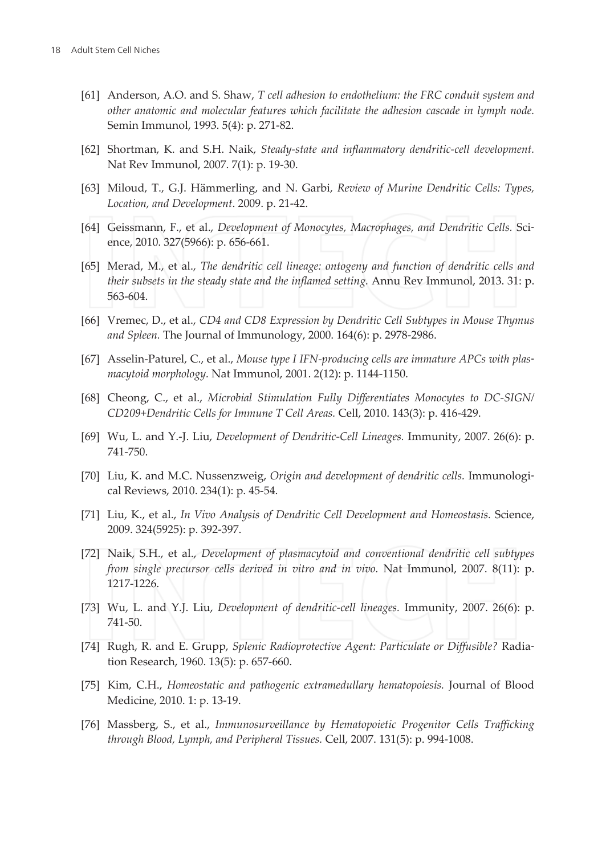- [61] Anderson, A.O. and S. Shaw, T cell adhesion to endothelium: the FRC conduit system and other anatomic and molecular features which facilitate the adhesion cascade in lymph node. Semin Immunol, 1993. 5(4): p. 271-82.
- [62] Shortman, K. and S.H. Naik, Steady-state and inflammatory dendritic-cell development. Nat Rev Immunol, 2007. 7(1): p. 19-30.
- [63] Miloud, T., G.J. Hämmerling, and N. Garbi, Review of Murine Dendritic Cells: Types, Location, and Development. 2009. p. 21-42.
- [64] Geissmann, F., et al., Development of Monocytes, Macrophages, and Dendritic Cells. Science, 2010. 327(5966): p. 656-661.
- [65] Merad, M., et al., The dendritic cell lineage: ontogeny and function of dendritic cells and *their subsets in the steady state and the inflamed setting. Annu Rev Immunol, 2013. 31: p.* 563-604.
- [66] Vremec, D., et al., CD4 and CD8 Expression by Dendritic Cell Subtypes in Mouse Thymus and Spleen. The Journal of Immunology, 2000. 164(6): p. 2978-2986.
- [67] Asselin-Paturel, C., et al., Mouse type I IFN-producing cells are immature APCs with plasmacytoid morphology. Nat Immunol, 2001. 2(12): p. 1144-1150.
- [68] Cheong, C., et al., Microbial Stimulation Fully Differentiates Monocytes to DC-SIGN/ CD209+Dendritic Cells for Immune T Cell Areas. Cell, 2010. 143(3): p. 416-429.
- [69] Wu, L. and Y.-J. Liu, Development of Dendritic-Cell Lineages. Immunity, 2007. 26(6): p. 741-750.
- [70] Liu, K. and M.C. Nussenzweig, Origin and development of dendritic cells. Immunological Reviews, 2010. 234(1): p. 45-54.
- [71] Liu, K., et al., In Vivo Analysis of Dendritic Cell Development and Homeostasis. Science, 2009. 324(5925): p. 392-397.
- [72] Naik, S.H., et al., Development of plasmacytoid and conventional dendritic cell subtypes from single precursor cells derived in vitro and in vivo. Nat Immunol, 2007. 8(11): p. 1217-1226.
- [73] Wu, L. and Y.J. Liu, Development of dendritic-cell lineages. Immunity, 2007. 26(6): p. 741-50.
- [74] Rugh, R. and E. Grupp, Splenic Radioprotective Agent: Particulate or Diffusible? Radiation Research, 1960. 13(5): p. 657-660.
- [75] Kim, C.H., Homeostatic and pathogenic extramedullary hematopoiesis. Journal of Blood Medicine, 2010. 1: p. 13-19.
- [76] Massberg, S., et al., Immunosurveillance by Hematopoietic Progenitor Cells Trafficking through Blood, Lymph, and Peripheral Tissues. Cell, 2007. 131(5): p. 994-1008.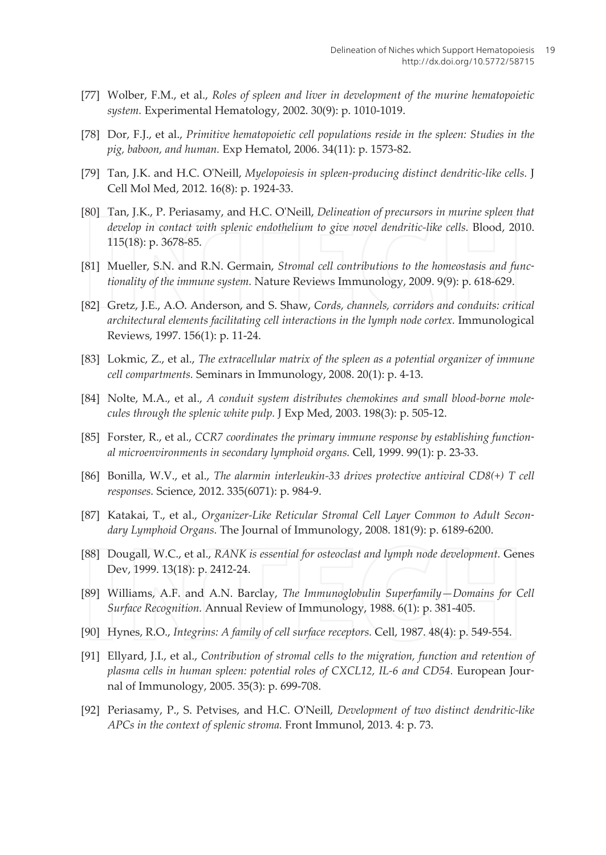- [77] Wolber, F.M., et al., Roles of spleen and liver in development of the murine hematopoietic system. Experimental Hematology, 2002. 30(9): p. 1010-1019.
- [78] Dor, F.J., et al., Primitive hematopoietic cell populations reside in the spleen: Studies in the pig, baboon, and human. Exp Hematol, 2006. 34(11): p. 1573-82.
- [79] Tan, J.K. and H.C. O'Neill, Myelopoiesis in spleen-producing distinct dendritic-like cells. ] Cell Mol Med, 2012. 16(8): p. 1924-33.
- [80] Tan, J.K., P. Periasamy, and H.C. O'Neill, Delineation of precursors in murine spleen that develop in contact with splenic endothelium to give novel dendritic-like cells. Blood, 2010. 115(18): p. 3678-85.
- [81] Mueller, S.N. and R.N. Germain, Stromal cell contributions to the homeostasis and functionality of the immune system. Nature Reviews Immunology, 2009. 9(9): p. 618-629.
- [82] Gretz, J.E., A.O. Anderson, and S. Shaw, Cords, channels, corridors and conduits: critical architectural elements facilitating cell interactions in the lymph node cortex. Immunological Reviews, 1997. 156(1): p. 11-24.
- [83] Lokmic, Z., et al., The extracellular matrix of the spleen as a potential organizer of immune cell compartments. Seminars in Immunology, 2008. 20(1): p. 4-13.
- [84] Nolte, M.A., et al., A conduit system distributes chemokines and small blood-borne molecules through the splenic white pulp. J Exp Med, 2003. 198(3): p. 505-12.
- [85] Forster, R., et al., CCR7 coordinates the primary immune response by establishing functional microenvironments in secondary lymphoid organs. Cell, 1999. 99(1): p. 23-33.
- [86] Bonilla, W.V., et al., The alarmin interleukin-33 drives protective antiviral  $CD8(+)$  T cell responses. Science, 2012. 335(6071): p. 984-9.
- [87] Katakai, T., et al., Organizer-Like Reticular Stromal Cell Layer Common to Adult Secondary Lymphoid Organs. The Journal of Immunology, 2008. 181(9): p. 6189-6200.
- [88] Dougall, W.C., et al., RANK is essential for osteoclast and lymph node development. Genes Dev, 1999. 13(18): p. 2412-24.
- [89] Williams, A.F. and A.N. Barclay, The Immunoglobulin Superfamily-Domains for Cell Surface Recognition. Annual Review of Immunology, 1988. 6(1): p. 381-405.
- [90] Hynes, R.O., Integrins: A family of cell surface receptors. Cell, 1987. 48(4): p. 549-554.
- [91] Ellyard, J.I., et al., Contribution of stromal cells to the migration, function and retention of plasma cells in human spleen: potential roles of CXCL12, IL-6 and CD54. European Journal of Immunology, 2005. 35(3): p. 699-708.
- [92] Periasamy, P., S. Petvises, and H.C. O'Neill, Development of two distinct dendritic-like APCs in the context of splenic stroma. Front Immunol, 2013. 4: p. 73.